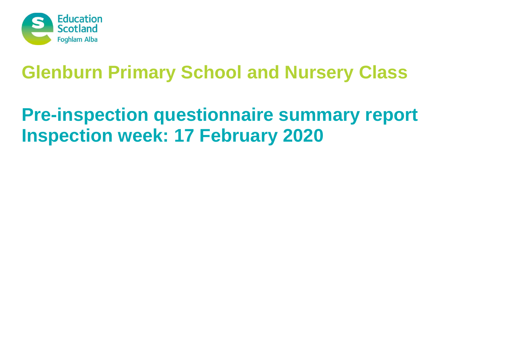

# **Pre-inspection questionnaire summary report Inspection week: 17 February 2020**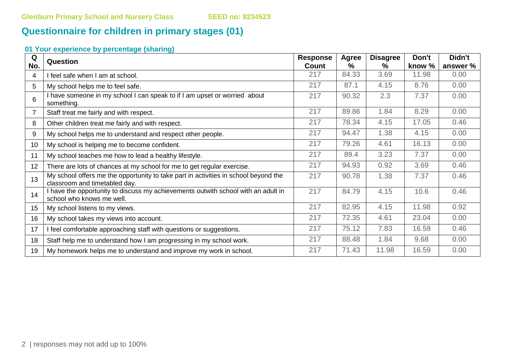# **Questionnaire for children in primary stages (01)**

| Q<br>No. | Question                                                                                                             | <b>Response</b><br>Count | <b>Agree</b><br>$\%$ | <b>Disagree</b><br>$\%$ | Don't<br>know % | Didn't<br>answer % |
|----------|----------------------------------------------------------------------------------------------------------------------|--------------------------|----------------------|-------------------------|-----------------|--------------------|
| 4        | I feel safe when I am at school.                                                                                     | 217                      | 84.33                | 3.69                    | 11.98           | 0.00               |
| 5        | My school helps me to feel safe.                                                                                     | 217                      | 87.1                 | 4.15                    | 8.76            | 0.00               |
| 6        | I have someone in my school I can speak to if I am upset or worried about<br>something.                              | 217                      | 90.32                | 2.3                     | 7.37            | 0.00               |
|          | Staff treat me fairly and with respect.                                                                              | 217                      | 89.86                | 1.84                    | 8.29            | 0.00               |
| 8        | Other children treat me fairly and with respect.                                                                     | 217                      | 78.34                | 4.15                    | 17.05           | 0.46               |
| 9        | My school helps me to understand and respect other people.                                                           | 217                      | 94.47                | 1.38                    | 4.15            | 0.00               |
| 10       | My school is helping me to become confident.                                                                         | 217                      | 79.26                | 4.61                    | 16.13           | 0.00               |
| 11       | My school teaches me how to lead a healthy lifestyle.                                                                | 217                      | 89.4                 | 3.23                    | 7.37            | 0.00               |
| 12       | There are lots of chances at my school for me to get regular exercise.                                               | 217                      | 94.93                | 0.92                    | 3.69            | 0.46               |
| 13       | My school offers me the opportunity to take part in activities in school beyond the<br>classroom and timetabled day. | 217                      | 90.78                | 1.38                    | 7.37            | 0.46               |
| 14       | I have the opportunity to discuss my achievements outwith school with an adult in<br>school who knows me well.       | 217                      | 84.79                | 4.15                    | 10.6            | 0.46               |
| 15       | My school listens to my views.                                                                                       | 217                      | 82.95                | 4.15                    | 11.98           | 0.92               |
| 16       | My school takes my views into account.                                                                               | 217                      | 72.35                | 4.61                    | 23.04           | 0.00               |
| 17       | I feel comfortable approaching staff with questions or suggestions.                                                  | 217                      | 75.12                | 7.83                    | 16.59           | 0.46               |
| 18       | Staff help me to understand how I am progressing in my school work.                                                  | 217                      | 88.48                | 1.84                    | 9.68            | 0.00               |
| 19       | My homework helps me to understand and improve my work in school.                                                    | 217                      | 71.43                | 11.98                   | 16.59           | 0.00               |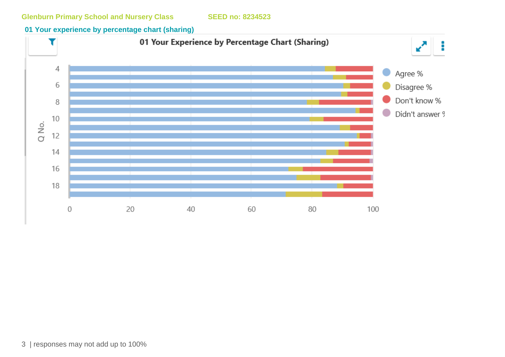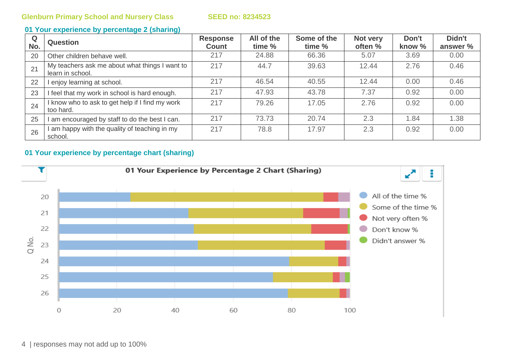| Q<br>No. | <b>Question</b>                                                    | <b>Response</b><br><b>Count</b> | All of the<br>time % | Some of the<br>time % | Not very<br>often % | Don't<br>know % | Didn't<br>answer % |
|----------|--------------------------------------------------------------------|---------------------------------|----------------------|-----------------------|---------------------|-----------------|--------------------|
| 20       | Other children behave well.                                        | 217                             | 24.88                | 66.36                 | 5.07                | 3.69            | 0.00               |
| 21       | My teachers ask me about what things I want to<br>learn in school. | 217                             | 44.7                 | 39.63                 | 12.44               | 2.76            | 0.46               |
| 22       | enjoy learning at school.                                          | 217                             | 46.54                | 40.55                 | 12.44               | 0.00            | 0.46               |
| 23       | I feel that my work in school is hard enough.                      | 217                             | 47.93                | 43.78                 | 7.37                | 0.92            | 0.00               |
| 24       | I know who to ask to get help if I find my work<br>too hard.       | 217                             | 79.26                | 17.05                 | 2.76                | 0.92            | 0.00               |
| 25       | am encouraged by staff to do the best I can.                       | 217                             | 73.73                | 20.74                 | 2.3                 | 1.84            | 1.38               |
| 26       | am happy with the quality of teaching in my<br>school.             | 217                             | 78.8                 | 17.97                 | 2.3                 | 0.92            | 0.00               |

### **01 Your experience by percentage chart (sharing)**



4 | responses may not add up to 100%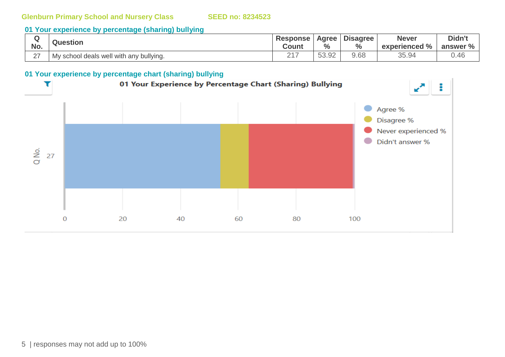## **01 Your experience by percentage (sharing) bullying**

|        | <b>Question</b>                         | <b>Response</b>   | Agree         | <b>Disagree</b> | <b>Never</b>  | Didn't   |
|--------|-----------------------------------------|-------------------|---------------|-----------------|---------------|----------|
| No.    |                                         | Count             | $\frac{0}{0}$ | $\frac{0}{0}$   | experienced % | answer % |
| $\sim$ | My school deals well with any bullying. | ヘィフ<br><u>_ .</u> | 53.92         | 3.68            | 35.94         | 0.46     |

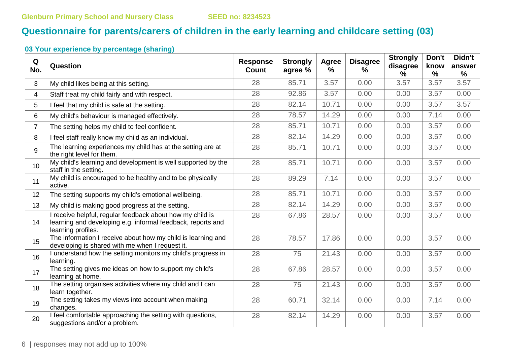# **Questionnaire for parents/carers of children in the early learning and childcare setting (03)**

| Q<br>No.       | Question                                                                                                                                       | <b>Response</b><br><b>Count</b> | <b>Strongly</b><br>agree % | Agree<br>% | <b>Disagree</b><br>$\%$ | <b>Strongly</b><br>disagree | Don't<br>know | Didn't<br>answer |
|----------------|------------------------------------------------------------------------------------------------------------------------------------------------|---------------------------------|----------------------------|------------|-------------------------|-----------------------------|---------------|------------------|
|                |                                                                                                                                                |                                 |                            |            |                         | %                           | $\frac{0}{0}$ | %                |
| 3              | My child likes being at this setting.                                                                                                          | 28                              | 85.71                      | 3.57       | 0.00                    | 3.57                        | 3.57          | 3.57             |
| 4              | Staff treat my child fairly and with respect.                                                                                                  | 28                              | 92.86                      | 3.57       | 0.00                    | 0.00                        | 3.57          | 0.00             |
| 5              | I feel that my child is safe at the setting.                                                                                                   | 28                              | 82.14                      | 10.71      | 0.00                    | 0.00                        | 3.57          | 3.57             |
| 6              | My child's behaviour is managed effectively.                                                                                                   | 28                              | 78.57                      | 14.29      | 0.00                    | 0.00                        | 7.14          | 0.00             |
| $\overline{7}$ | The setting helps my child to feel confident.                                                                                                  | 28                              | 85.71                      | 10.71      | 0.00                    | 0.00                        | 3.57          | 0.00             |
| 8              | I feel staff really know my child as an individual.                                                                                            | 28                              | 82.14                      | 14.29      | 0.00                    | 0.00                        | 3.57          | 0.00             |
| 9              | The learning experiences my child has at the setting are at<br>the right level for them.                                                       | 28                              | 85.71                      | 10.71      | 0.00                    | 0.00                        | 3.57          | 0.00             |
| 10             | My child's learning and development is well supported by the<br>staff in the setting.                                                          | 28                              | 85.71                      | 10.71      | 0.00                    | 0.00                        | 3.57          | 0.00             |
| 11             | My child is encouraged to be healthy and to be physically<br>active.                                                                           | 28                              | 89.29                      | 7.14       | 0.00                    | 0.00                        | 3.57          | 0.00             |
| 12             | The setting supports my child's emotional wellbeing.                                                                                           | 28                              | 85.71                      | 10.71      | 0.00                    | 0.00                        | 3.57          | 0.00             |
| 13             | My child is making good progress at the setting.                                                                                               | 28                              | 82.14                      | 14.29      | 0.00                    | 0.00                        | 3.57          | 0.00             |
| 14             | I receive helpful, regular feedback about how my child is<br>learning and developing e.g. informal feedback, reports and<br>learning profiles. | 28                              | 67.86                      | 28.57      | 0.00                    | 0.00                        | 3.57          | 0.00             |
| 15             | The information I receive about how my child is learning and<br>developing is shared with me when I request it.                                | 28                              | 78.57                      | 17.86      | 0.00                    | 0.00                        | 3.57          | 0.00             |
| 16             | I understand how the setting monitors my child's progress in<br>learning.                                                                      | 28                              | 75                         | 21.43      | 0.00                    | 0.00                        | 3.57          | 0.00             |
| 17             | The setting gives me ideas on how to support my child's<br>learning at home.                                                                   | 28                              | 67.86                      | 28.57      | 0.00                    | 0.00                        | 3.57          | 0.00             |
| 18             | The setting organises activities where my child and I can<br>learn together.                                                                   | 28                              | 75                         | 21.43      | 0.00                    | 0.00                        | 3.57          | 0.00             |
| 19             | The setting takes my views into account when making<br>changes.                                                                                | 28                              | 60.71                      | 32.14      | 0.00                    | 0.00                        | 7.14          | 0.00             |
| 20             | I feel comfortable approaching the setting with questions,<br>suggestions and/or a problem.                                                    | 28                              | 82.14                      | 14.29      | 0.00                    | 0.00                        | 3.57          | 0.00             |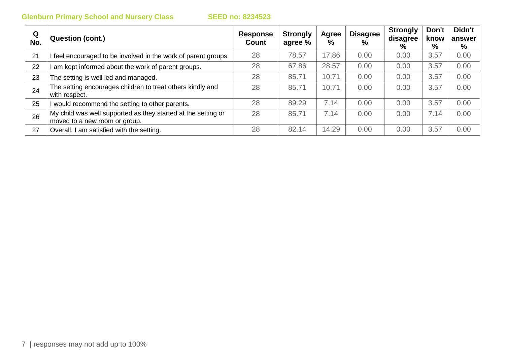| Q<br>No. | Question (cont.)                                                                               | <b>Response</b><br>Count | <b>Strongly</b><br>agree % | Agree<br>$\frac{9}{6}$ | <b>Disagree</b><br>$\%$ | <b>Strongly</b><br>disagree<br>% | Don't<br>know<br>% | Didn't<br>answer<br>% |
|----------|------------------------------------------------------------------------------------------------|--------------------------|----------------------------|------------------------|-------------------------|----------------------------------|--------------------|-----------------------|
| 21       | I feel encouraged to be involved in the work of parent groups.                                 | 28                       | 78.57                      | 17.86                  | 0.00                    | 0.00                             | 3.57               | 0.00                  |
| 22       | am kept informed about the work of parent groups.                                              | 28                       | 67.86                      | 28.57                  | 0.00                    | 0.00                             | 3.57               | 0.00                  |
| 23       | The setting is well led and managed.                                                           | 28                       | 85.71                      | 10.71                  | 0.00                    | 0.00                             | 3.57               | 0.00                  |
| 24       | The setting encourages children to treat others kindly and<br>with respect.                    | 28                       | 85.71                      | 10.71                  | 0.00                    | 0.00                             | 3.57               | 0.00                  |
| 25       | I would recommend the setting to other parents.                                                | 28                       | 89.29                      | 7.14                   | 0.00                    | 0.00                             | 3.57               | 0.00                  |
| 26       | My child was well supported as they started at the setting or<br>moved to a new room or group. | 28                       | 85.71                      | 7.14                   | 0.00                    | 0.00                             | 7.14               | 0.00                  |
| 27       | Overall, I am satisfied with the setting.                                                      | 28                       | 82.14                      | 14.29                  | 0.00                    | 0.00                             | 3.57               | 0.00                  |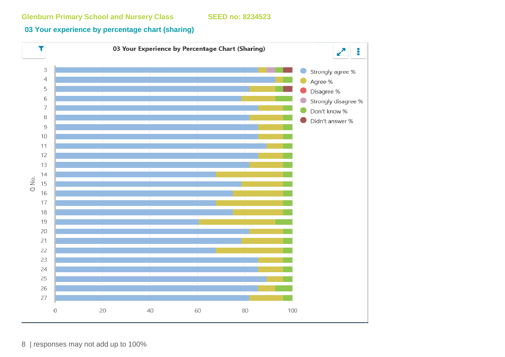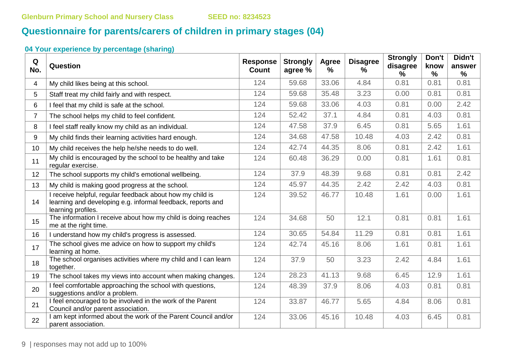# **Questionnaire for parents/carers of children in primary stages (04)**

| Q<br>No.       | Question                                                                                                                                       | <b>Response</b><br><b>Count</b> | <b>Strongly</b><br>agree % | Agree<br>% | <b>Disagree</b><br>% | <b>Strongly</b><br>disagree<br>$\%$ | Don't<br>know<br>% | Didn't<br>answer<br>$\%$ |
|----------------|------------------------------------------------------------------------------------------------------------------------------------------------|---------------------------------|----------------------------|------------|----------------------|-------------------------------------|--------------------|--------------------------|
| 4              | My child likes being at this school.                                                                                                           | 124                             | 59.68                      | 33.06      | 4.84                 | 0.81                                | 0.81               | 0.81                     |
| 5              | Staff treat my child fairly and with respect.                                                                                                  | 124                             | 59.68                      | 35.48      | 3.23                 | 0.00                                | 0.81               | 0.81                     |
| 6              | I feel that my child is safe at the school.                                                                                                    | 124                             | 59.68                      | 33.06      | 4.03                 | 0.81                                | 0.00               | 2.42                     |
| $\overline{7}$ | The school helps my child to feel confident.                                                                                                   | 124                             | 52.42                      | 37.1       | 4.84                 | 0.81                                | 4.03               | 0.81                     |
| 8              | I feel staff really know my child as an individual.                                                                                            | 124                             | 47.58                      | 37.9       | 6.45                 | 0.81                                | 5.65               | 1.61                     |
| 9              | My child finds their learning activities hard enough.                                                                                          | 124                             | 34.68                      | 47.58      | 10.48                | 4.03                                | 2.42               | 0.81                     |
| 10             | My child receives the help he/she needs to do well.                                                                                            | 124                             | 42.74                      | 44.35      | 8.06                 | 0.81                                | 2.42               | 1.61                     |
| 11             | My child is encouraged by the school to be healthy and take<br>regular exercise.                                                               | 124                             | 60.48                      | 36.29      | 0.00                 | 0.81                                | 1.61               | 0.81                     |
| 12             | The school supports my child's emotional wellbeing.                                                                                            | 124                             | 37.9                       | 48.39      | 9.68                 | 0.81                                | 0.81               | 2.42                     |
| 13             | My child is making good progress at the school.                                                                                                | 124                             | 45.97                      | 44.35      | 2.42                 | 2.42                                | 4.03               | 0.81                     |
| 14             | I receive helpful, regular feedback about how my child is<br>learning and developing e.g. informal feedback, reports and<br>learning profiles. | 124                             | 39.52                      | 46.77      | 10.48                | 1.61                                | 0.00               | 1.61                     |
| 15             | The information I receive about how my child is doing reaches<br>me at the right time.                                                         | 124                             | 34.68                      | 50         | 12.1                 | 0.81                                | 0.81               | 1.61                     |
| 16             | I understand how my child's progress is assessed.                                                                                              | 124                             | 30.65                      | 54.84      | 11.29                | 0.81                                | 0.81               | 1.61                     |
| 17             | The school gives me advice on how to support my child's<br>learning at home.                                                                   | 124                             | 42.74                      | 45.16      | 8.06                 | 1.61                                | 0.81               | 1.61                     |
| 18             | The school organises activities where my child and I can learn<br>together.                                                                    | 124                             | 37.9                       | 50         | 3.23                 | 2.42                                | 4.84               | 1.61                     |
| 19             | The school takes my views into account when making changes.                                                                                    | 124                             | 28.23                      | 41.13      | 9.68                 | 6.45                                | 12.9               | 1.61                     |
| 20             | I feel comfortable approaching the school with questions,<br>suggestions and/or a problem.                                                     | 124                             | 48.39                      | 37.9       | 8.06                 | 4.03                                | 0.81               | 0.81                     |
| 21             | I feel encouraged to be involved in the work of the Parent<br>Council and/or parent association.                                               | 124                             | 33.87                      | 46.77      | 5.65                 | 4.84                                | 8.06               | 0.81                     |
| 22             | I am kept informed about the work of the Parent Council and/or<br>parent association.                                                          | 124                             | 33.06                      | 45.16      | 10.48                | 4.03                                | 6.45               | 0.81                     |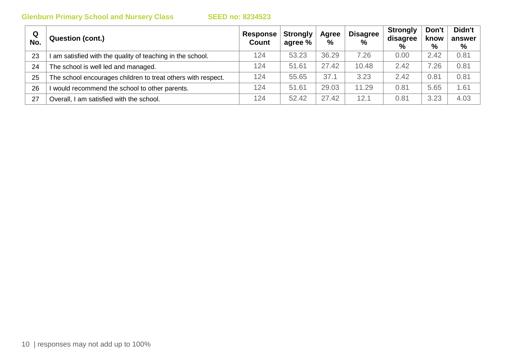| Q<br>No. | <b>Question (cont.)</b>                                      | Response<br><b>Count</b> | <b>Strongly</b><br>agree % | Agree<br>% | <b>Disagree</b><br>$\frac{0}{0}$ | <b>Strongly</b><br>disagree<br>$\%$ | Don't<br>know<br>$\%$ | Didn't<br>answer<br>% |
|----------|--------------------------------------------------------------|--------------------------|----------------------------|------------|----------------------------------|-------------------------------------|-----------------------|-----------------------|
| 23       | am satisfied with the quality of teaching in the school.     | 124                      | 53.23                      | 36.29      | 7.26                             | 0.00                                | 2.42                  | 0.81                  |
| 24       | The school is well led and managed.                          | 124                      | 51.61                      | 27.42      | 10.48                            | 2.42                                | 7.26                  | 0.81                  |
| 25       | The school encourages children to treat others with respect. | 124                      | 55.65                      | 37.1       | 3.23                             | 2.42                                | 0.81                  | 0.81                  |
| 26       | would recommend the school to other parents.                 | 124                      | 51.61                      | 29.03      | 11.29                            | 0.81                                | 5.65                  | 1.61                  |
| 27       | Overall, I am satisfied with the school.                     | 124                      | 52.42                      | 27.42      | 12.1                             | 0.81                                | 3.23                  | 4.03                  |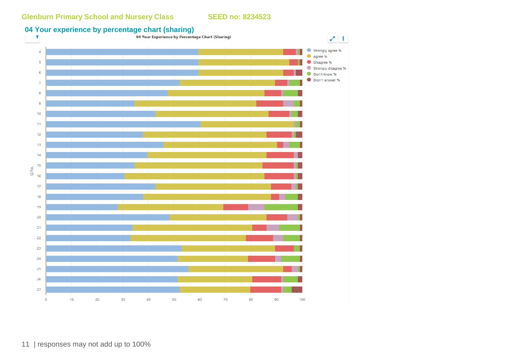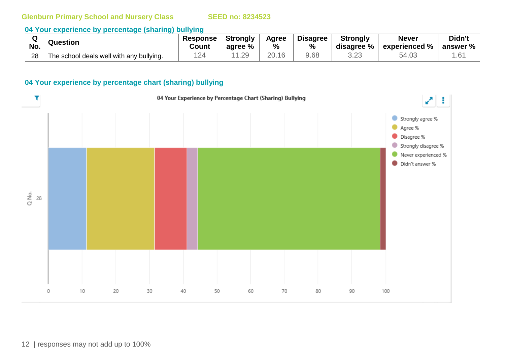#### **04 Your experience by percentage (sharing) bullying**

|     | <b>Question</b>                          | <b>Response</b> | <b>Strongly</b> | Agree | <b>Disagree</b> | <b>Strongly</b> | <b>Never</b>             | Didn't          |
|-----|------------------------------------------|-----------------|-----------------|-------|-----------------|-----------------|--------------------------|-----------------|
| No. |                                          | Count           | agree %         | %     | $\frac{0}{0}$   | disagree %      | $^{\circ}$ experienced % | answer %        |
| 28  | The school deals well with any bullying. | 12.<br><u>_</u> | .29             | 20.16 | 9.68            | ب∠.ں            | 54.U3                    | .6 <sup>4</sup> |

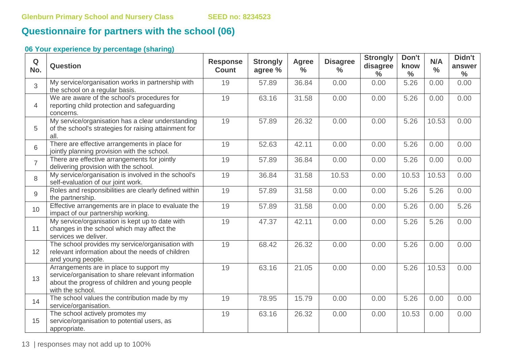# **Questionnaire for partners with the school (06)**

## **06 Your experience by percentage (sharing)**

| Q<br>No.       | <b>Question</b>                                                                                                                                                      | <b>Response</b><br><b>Count</b> | <b>Strongly</b><br>agree % | <b>Agree</b><br>$\%$ | <b>Disagree</b><br>$\frac{0}{0}$ | <b>Strongly</b><br>disagree<br>$\frac{6}{6}$ | Don't<br>know<br>$\frac{0}{0}$ | N/A<br>$\frac{0}{0}$ | Didn't<br>answer<br>$\frac{0}{0}$ |
|----------------|----------------------------------------------------------------------------------------------------------------------------------------------------------------------|---------------------------------|----------------------------|----------------------|----------------------------------|----------------------------------------------|--------------------------------|----------------------|-----------------------------------|
| 3              | My service/organisation works in partnership with<br>the school on a regular basis.                                                                                  | 19                              | 57.89                      | 36.84                | 0.00                             | 0.00                                         | 5.26                           | 0.00                 | 0.00                              |
| $\overline{4}$ | We are aware of the school's procedures for<br>reporting child protection and safeguarding<br>concerns.                                                              | 19                              | 63.16                      | 31.58                | 0.00                             | 0.00                                         | 5.26                           | 0.00                 | 0.00                              |
| 5              | My service/organisation has a clear understanding<br>of the school's strategies for raising attainment for<br>all.                                                   | 19                              | 57.89                      | 26.32                | 0.00                             | 0.00                                         | 5.26                           | 10.53                | 0.00                              |
| 6              | There are effective arrangements in place for<br>jointly planning provision with the school.                                                                         | 19                              | 52.63                      | 42.11                | 0.00                             | 0.00                                         | 5.26                           | 0.00                 | 0.00                              |
| $\overline{7}$ | There are effective arrangements for jointly<br>delivering provision with the school.                                                                                | 19                              | 57.89                      | 36.84                | 0.00                             | 0.00                                         | 5.26                           | 0.00                 | 0.00                              |
| 8              | My service/organisation is involved in the school's<br>self-evaluation of our joint work.                                                                            | 19                              | 36.84                      | 31.58                | 10.53                            | 0.00                                         | 10.53                          | 10.53                | 0.00                              |
| 9              | Roles and responsibilities are clearly defined within<br>the partnership.                                                                                            | 19                              | 57.89                      | 31.58                | 0.00                             | 0.00                                         | 5.26                           | 5.26                 | 0.00                              |
| 10             | Effective arrangements are in place to evaluate the<br>impact of our partnership working.                                                                            | 19                              | 57.89                      | 31.58                | 0.00                             | 0.00                                         | 5.26                           | 0.00                 | 5.26                              |
| 11             | My service/organisation is kept up to date with<br>changes in the school which may affect the<br>services we deliver.                                                | 19                              | 47.37                      | 42.11                | 0.00                             | 0.00                                         | 5.26                           | 5.26                 | 0.00                              |
| 12             | The school provides my service/organisation with<br>relevant information about the needs of children<br>and young people.                                            | 19                              | 68.42                      | 26.32                | 0.00                             | 0.00                                         | 5.26                           | 0.00                 | 0.00                              |
| 13             | Arrangements are in place to support my<br>service/organisation to share relevant information<br>about the progress of children and young people<br>with the school. | 19                              | 63.16                      | 21.05                | 0.00                             | 0.00                                         | 5.26                           | 10.53                | 0.00                              |
| 14             | The school values the contribution made by my<br>service/organisation.                                                                                               | 19                              | 78.95                      | 15.79                | 0.00                             | 0.00                                         | 5.26                           | 0.00                 | 0.00                              |
| 15             | The school actively promotes my<br>service/organisation to potential users, as<br>appropriate.                                                                       | 19                              | 63.16                      | 26.32                | 0.00                             | 0.00                                         | 10.53                          | 0.00                 | 0.00                              |

13 | responses may not add up to 100%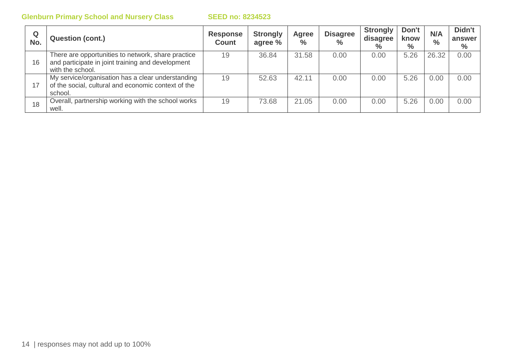| Q<br>No. | <b>Question (cont.)</b>                                                                                                     | <b>Response</b><br><b>Count</b> | <b>Strongly</b><br>agree % | Agree<br>$\%$ | <b>Disagree</b><br>$\frac{0}{0}$ | <b>Strongly</b><br>disagree<br>$\%$ | Don't<br>know<br>$\%$ | N/A<br>$\frac{0}{0}$ | Didn't<br>answer<br>$\%$ |
|----------|-----------------------------------------------------------------------------------------------------------------------------|---------------------------------|----------------------------|---------------|----------------------------------|-------------------------------------|-----------------------|----------------------|--------------------------|
| 16       | There are opportunities to network, share practice<br>and participate in joint training and development<br>with the school. | 19                              | 36.84                      | 31.58         | 0.00                             | 0.00                                | 5.26                  | 26.32                | 0.00                     |
| 17       | My service/organisation has a clear understanding<br>of the social, cultural and economic context of the<br>school.         | 19                              | 52.63                      | 42.11         | 0.00                             | 0.00                                | 5.26                  | 0.00                 | 0.00                     |
| 18       | Overall, partnership working with the school works<br>well.                                                                 | 19                              | 73.68                      | 21.05         | 0.00                             | 0.00                                | 5.26                  | 0.00                 | 0.00                     |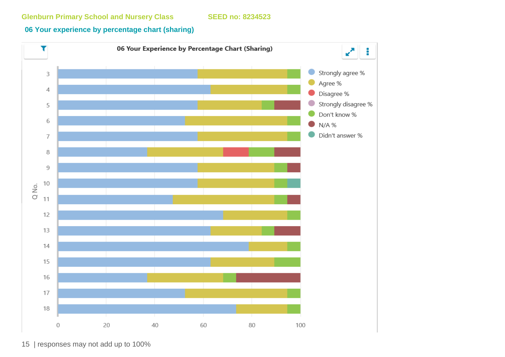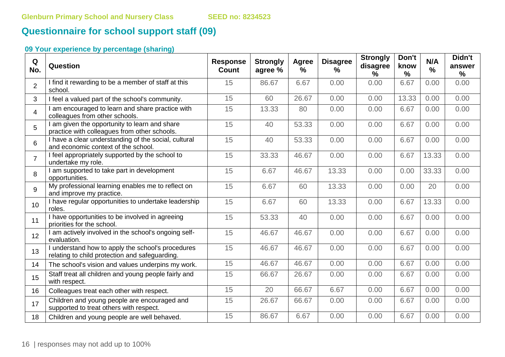# **Questionnaire for school support staff (09)**

| Q<br>No.       | Question                                                                                            | <b>Response</b><br><b>Count</b> | <b>Strongly</b><br>agree % | Agree<br>$\%$ | <b>Disagree</b><br>% | <b>Strongly</b><br>disagree<br>$\frac{9}{6}$ | Don't<br>know<br>$\frac{9}{6}$ | N/A<br>% | Didn't<br>answer<br>$\frac{9}{6}$ |
|----------------|-----------------------------------------------------------------------------------------------------|---------------------------------|----------------------------|---------------|----------------------|----------------------------------------------|--------------------------------|----------|-----------------------------------|
| $\overline{2}$ | I find it rewarding to be a member of staff at this<br>school.                                      | 15                              | 86.67                      | 6.67          | 0.00                 | 0.00                                         | 6.67                           | 0.00     | 0.00                              |
| $\mathbf{3}$   | I feel a valued part of the school's community.                                                     | 15                              | 60                         | 26.67         | 0.00                 | 0.00                                         | 13.33                          | 0.00     | 0.00                              |
| $\overline{4}$ | I am encouraged to learn and share practice with<br>colleagues from other schools.                  | 15                              | 13.33                      | 80            | 0.00                 | 0.00                                         | 6.67                           | 0.00     | 0.00                              |
| 5              | I am given the opportunity to learn and share<br>practice with colleagues from other schools.       | 15                              | 40                         | 53.33         | 0.00                 | 0.00                                         | 6.67                           | 0.00     | 0.00                              |
| 6              | I have a clear understanding of the social, cultural<br>and economic context of the school.         | 15                              | 40                         | 53.33         | 0.00                 | 0.00                                         | 6.67                           | 0.00     | 0.00                              |
| $\overline{7}$ | I feel appropriately supported by the school to<br>undertake my role.                               | 15                              | 33.33                      | 46.67         | 0.00                 | 0.00                                         | 6.67                           | 13.33    | 0.00                              |
| 8              | I am supported to take part in development<br>opportunities.                                        | 15                              | 6.67                       | 46.67         | 13.33                | 0.00                                         | 0.00                           | 33.33    | 0.00                              |
| 9              | My professional learning enables me to reflect on<br>and improve my practice.                       | 15                              | 6.67                       | 60            | 13.33                | 0.00                                         | 0.00                           | 20       | 0.00                              |
| 10             | I have regular opportunities to undertake leadership<br>roles.                                      | 15                              | 6.67                       | 60            | 13.33                | 0.00                                         | 6.67                           | 13.33    | 0.00                              |
| 11             | I have opportunities to be involved in agreeing<br>priorities for the school.                       | 15                              | 53.33                      | 40            | 0.00                 | 0.00                                         | 6.67                           | 0.00     | 0.00                              |
| 12             | I am actively involved in the school's ongoing self-<br>evaluation.                                 | 15                              | 46.67                      | 46.67         | 0.00                 | 0.00                                         | 6.67                           | 0.00     | 0.00                              |
| 13             | I understand how to apply the school's procedures<br>relating to child protection and safeguarding. | 15                              | 46.67                      | 46.67         | 0.00                 | 0.00                                         | 6.67                           | 0.00     | 0.00                              |
| 14             | The school's vision and values underpins my work.                                                   | 15                              | 46.67                      | 46.67         | 0.00                 | 0.00                                         | 6.67                           | 0.00     | 0.00                              |
| 15             | Staff treat all children and young people fairly and<br>with respect.                               | 15                              | 66.67                      | 26.67         | 0.00                 | 0.00                                         | 6.67                           | 0.00     | 0.00                              |
| 16             | Colleagues treat each other with respect.                                                           | 15                              | 20                         | 66.67         | 6.67                 | 0.00                                         | 6.67                           | 0.00     | 0.00                              |
| 17             | Children and young people are encouraged and<br>supported to treat others with respect.             | 15                              | 26.67                      | 66.67         | 0.00                 | 0.00                                         | 6.67                           | 0.00     | 0.00                              |
| 18             | Children and young people are well behaved.                                                         | 15                              | 86.67                      | 6.67          | 0.00                 | 0.00                                         | 6.67                           | 0.00     | 0.00                              |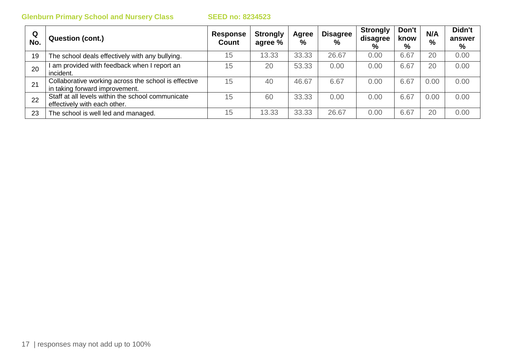| Q<br>No. | <b>Question (cont.)</b>                                                                | <b>Response</b><br>Count | <b>Strongly</b><br>agree % | Agree<br>$\%$ | <b>Disagree</b><br>$\%$ | <b>Strongly</b><br>disagree<br>% | Don't<br>know<br>$\%$ | N/A<br>$\%$ | Didn't<br>answer<br>% |
|----------|----------------------------------------------------------------------------------------|--------------------------|----------------------------|---------------|-------------------------|----------------------------------|-----------------------|-------------|-----------------------|
| 19       | The school deals effectively with any bullying.                                        | 15                       | 13.33                      | 33.33         | 26.67                   | 0.00                             | 6.67                  | 20          | 0.00                  |
| 20       | am provided with feedback when I report an<br>incident.                                | 15                       | 20                         | 53.33         | 0.00                    | 0.00                             | 6.67                  | 20          | 0.00                  |
| 21       | Collaborative working across the school is effective<br>in taking forward improvement. | 15                       | 40                         | 46.67         | 6.67                    | 0.00                             | 6.67                  | 0.00        | 0.00                  |
| 22       | Staff at all levels within the school communicate<br>effectively with each other.      | 15                       | 60                         | 33.33         | 0.00                    | 0.00                             | 6.67                  | 0.00        | 0.00                  |
| 23       | The school is well led and managed.                                                    | 15                       | 13.33                      | 33.33         | 26.67                   | 0.00                             | 6.67                  | 20          | 0.00                  |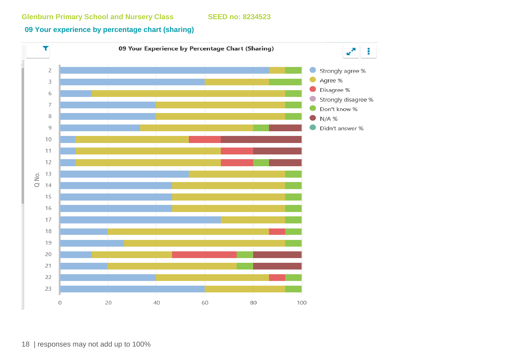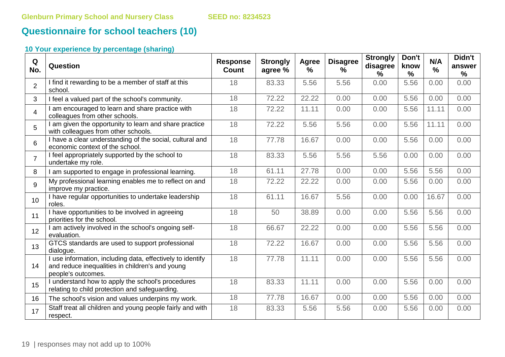# **Questionnaire for school teachers (10)**

| Q<br>No.        | Question                                                                                                                            | <b>Response</b><br><b>Count</b> | <b>Strongly</b><br>agree % | Agree<br>$\frac{9}{6}$ | <b>Disagree</b><br>% | <b>Strongly</b><br>disagree<br>$\%$ | Don't<br>know<br>$\frac{0}{0}$ | N/A<br>$\frac{0}{0}$ | Didn't<br>answer<br>$\frac{9}{6}$ |
|-----------------|-------------------------------------------------------------------------------------------------------------------------------------|---------------------------------|----------------------------|------------------------|----------------------|-------------------------------------|--------------------------------|----------------------|-----------------------------------|
| $\overline{2}$  | I find it rewarding to be a member of staff at this<br>school.                                                                      | 18                              | 83.33                      | 5.56                   | 5.56                 | 0.00                                | 5.56                           | 0.00                 | 0.00                              |
| 3               | I feel a valued part of the school's community.                                                                                     | 18                              | 72.22                      | 22.22                  | 0.00                 | 0.00                                | 5.56                           | 0.00                 | 0.00                              |
| $\overline{4}$  | am encouraged to learn and share practice with<br>colleagues from other schools.                                                    | 18                              | 72.22                      | 11.11                  | 0.00                 | 0.00                                | 5.56                           | 11.11                | 0.00                              |
| 5               | I am given the opportunity to learn and share practice<br>with colleagues from other schools.                                       | 18                              | 72.22                      | 5.56                   | 5.56                 | 0.00                                | 5.56                           | 11.11                | 0.00                              |
| 6               | I have a clear understanding of the social, cultural and<br>economic context of the school.                                         | 18                              | 77.78                      | 16.67                  | 0.00                 | 0.00                                | 5.56                           | 0.00                 | 0.00                              |
| $\overline{7}$  | I feel appropriately supported by the school to<br>undertake my role.                                                               | 18                              | 83.33                      | 5.56                   | 5.56                 | 5.56                                | 0.00                           | 0.00                 | 0.00                              |
| 8               | I am supported to engage in professional learning.                                                                                  | 18                              | 61.11                      | 27.78                  | 0.00                 | 0.00                                | 5.56                           | 5.56                 | 0.00                              |
| 9               | My professional learning enables me to reflect on and<br>improve my practice.                                                       | 18                              | 72.22                      | 22.22                  | 0.00                 | 0.00                                | 5.56                           | 0.00                 | 0.00                              |
| 10 <sup>1</sup> | I have regular opportunities to undertake leadership<br>roles.                                                                      | 18                              | 61.11                      | 16.67                  | 5.56                 | 0.00                                | 0.00                           | 16.67                | 0.00                              |
| 11              | I have opportunities to be involved in agreeing<br>priorities for the school.                                                       | 18                              | 50                         | 38.89                  | 0.00                 | 0.00                                | 5.56                           | 5.56                 | 0.00                              |
| 12              | am actively involved in the school's ongoing self-<br>evaluation.                                                                   | 18                              | 66.67                      | 22.22                  | 0.00                 | 0.00                                | 5.56                           | 5.56                 | 0.00                              |
| 13              | GTCS standards are used to support professional<br>dialogue.                                                                        | 18                              | 72.22                      | 16.67                  | 0.00                 | 0.00                                | 5.56                           | 5.56                 | 0.00                              |
| 14              | I use information, including data, effectively to identify<br>and reduce inequalities in children's and young<br>people's outcomes. | 18                              | 77.78                      | 11.11                  | 0.00                 | 0.00                                | 5.56                           | 5.56                 | 0.00                              |
| 15              | I understand how to apply the school's procedures<br>relating to child protection and safeguarding.                                 | 18                              | 83.33                      | 11.11                  | 0.00                 | 0.00                                | 5.56                           | 0.00                 | 0.00                              |
| 16              | The school's vision and values underpins my work.                                                                                   | 18                              | 77.78                      | 16.67                  | 0.00                 | 0.00                                | 5.56                           | 0.00                 | 0.00                              |
| 17              | Staff treat all children and young people fairly and with<br>respect.                                                               | 18                              | 83.33                      | 5.56                   | 5.56                 | 0.00                                | 5.56                           | 0.00                 | 0.00                              |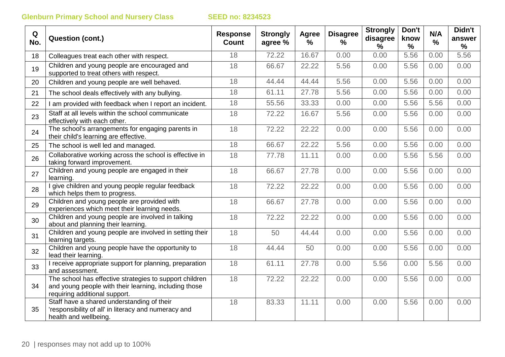| Q<br>No. | <b>Question (cont.)</b>                                                                                                                           | <b>Response</b><br><b>Count</b> | <b>Strongly</b><br>agree % | Agree<br>% | <b>Disagree</b><br>℅ | <b>Strongly</b><br>disagree<br>% | Don't<br>know<br>$\frac{0}{0}$ | N/A<br>$\frac{9}{6}$ | Didn't<br>answer<br>$\frac{0}{0}$ |
|----------|---------------------------------------------------------------------------------------------------------------------------------------------------|---------------------------------|----------------------------|------------|----------------------|----------------------------------|--------------------------------|----------------------|-----------------------------------|
| 18       | Colleagues treat each other with respect.                                                                                                         | 18                              | 72.22                      | 16.67      | 0.00                 | 0.00                             | 5.56                           | 0.00                 | 5.56                              |
| 19       | Children and young people are encouraged and<br>supported to treat others with respect.                                                           | 18                              | 66.67                      | 22.22      | 5.56                 | 0.00                             | 5.56                           | 0.00                 | 0.00                              |
| 20       | Children and young people are well behaved.                                                                                                       | 18                              | 44.44                      | 44.44      | 5.56                 | 0.00                             | 5.56                           | 0.00                 | 0.00                              |
| 21       | The school deals effectively with any bullying.                                                                                                   | 18                              | 61.11                      | 27.78      | 5.56                 | 0.00                             | 5.56                           | 0.00                 | 0.00                              |
| 22       | I am provided with feedback when I report an incident.                                                                                            | 18                              | 55.56                      | 33.33      | 0.00                 | 0.00                             | 5.56                           | 5.56                 | 0.00                              |
| 23       | Staff at all levels within the school communicate<br>effectively with each other.                                                                 | 18                              | 72.22                      | 16.67      | 5.56                 | 0.00                             | 5.56                           | 0.00                 | 0.00                              |
| 24       | The school's arrangements for engaging parents in<br>their child's learning are effective.                                                        | 18                              | 72.22                      | 22.22      | 0.00                 | 0.00                             | 5.56                           | 0.00                 | 0.00                              |
| 25       | The school is well led and managed.                                                                                                               | 18                              | 66.67                      | 22.22      | 5.56                 | 0.00                             | 5.56                           | 0.00                 | 0.00                              |
| 26       | Collaborative working across the school is effective in<br>taking forward improvement.                                                            | 18                              | 77.78                      | 11.11      | 0.00                 | 0.00                             | 5.56                           | 5.56                 | 0.00                              |
| 27       | Children and young people are engaged in their<br>learning.                                                                                       | 18                              | 66.67                      | 27.78      | 0.00                 | 0.00                             | 5.56                           | 0.00                 | 0.00                              |
| 28       | give children and young people regular feedback<br>which helps them to progress.                                                                  | 18                              | 72.22                      | 22.22      | 0.00                 | 0.00                             | 5.56                           | 0.00                 | 0.00                              |
| 29       | Children and young people are provided with<br>experiences which meet their learning needs.                                                       | 18                              | 66.67                      | 27.78      | 0.00                 | 0.00                             | 5.56                           | 0.00                 | 0.00                              |
| 30       | Children and young people are involved in talking<br>about and planning their learning.                                                           | 18                              | 72.22                      | 22.22      | 0.00                 | 0.00                             | 5.56                           | 0.00                 | 0.00                              |
| 31       | Children and young people are involved in setting their<br>learning targets.                                                                      | 18                              | 50                         | 44.44      | 0.00                 | 0.00                             | 5.56                           | 0.00                 | 0.00                              |
| 32       | Children and young people have the opportunity to<br>lead their learning.                                                                         | 18                              | 44.44                      | 50         | 0.00                 | 0.00                             | 5.56                           | 0.00                 | 0.00                              |
| 33       | I receive appropriate support for planning, preparation<br>and assessment.                                                                        | 18                              | 61.11                      | 27.78      | 0.00                 | 5.56                             | 0.00                           | 5.56                 | 0.00                              |
| 34       | The school has effective strategies to support children<br>and young people with their learning, including those<br>requiring additional support. | 18                              | 72.22                      | 22.22      | 0.00                 | 0.00                             | 5.56                           | 0.00                 | 0.00                              |
| 35       | Staff have a shared understanding of their<br>'responsibility of all' in literacy and numeracy and<br>health and wellbeing.                       | 18                              | 83.33                      | 11.11      | 0.00                 | 0.00                             | 5.56                           | 0.00                 | 0.00                              |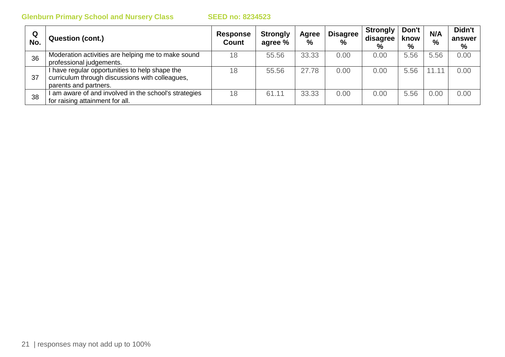| Q<br>No. | <b>Question (cont.)</b>                                                                                                  | <b>Response</b><br><b>Count</b> | <b>Strongly</b><br>agree % | Agree<br>$\frac{0}{0}$ | <b>Disagree</b><br>$\%$ | <b>Strongly</b><br>disagree<br>% | Don't<br>know<br>$\%$ | N/A<br>$\frac{0}{0}$ | Didn't<br>answer<br>% |
|----------|--------------------------------------------------------------------------------------------------------------------------|---------------------------------|----------------------------|------------------------|-------------------------|----------------------------------|-----------------------|----------------------|-----------------------|
| 36       | Moderation activities are helping me to make sound<br>professional judgements.                                           | 18                              | 55.56                      | 33.33                  | 0.00                    | 0.00                             | 5.56                  | 5.56                 | 0.00                  |
| 37       | have regular opportunities to help shape the<br>curriculum through discussions with colleagues,<br>parents and partners. | 18                              | 55.56                      | 27.78                  | 0.00                    | 0.00                             | 5.56                  | 11.11                | 0.00                  |
| 38       | am aware of and involved in the school's strategies<br>for raising attainment for all.                                   | 18                              | 61.11                      | 33.33                  | 0.00                    | 0.00                             | 5.56                  | 0.00                 | 0.00                  |